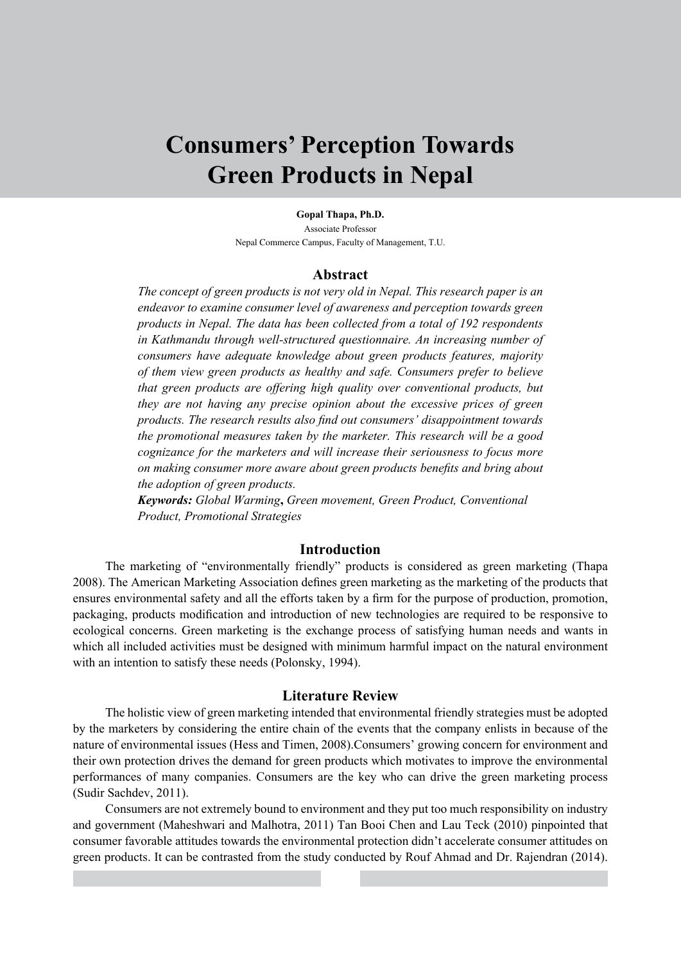# **Consumers' Perception Towards Green Products in Nepal**

**Gopal Thapa, Ph.D.**

Associate Professor Nepal Commerce Campus, Faculty of Management, T.U.

#### **Abstract**

*The concept of green products is not very old in Nepal. This research paper is an endeavor to examine consumer level of awareness and perception towards green products in Nepal. The data has been collected from a total of 192 respondents in Kathmandu through well-structured questionnaire. An increasing number of consumers have adequate knowledge about green products features, majority of them view green products as healthy and safe. Consumers prefer to believe that green products are offering high quality over conventional products, but they are not having any precise opinion about the excessive prices of green products. The research results also find out consumers' disappointment towards the promotional measures taken by the marketer. This research will be a good cognizance for the marketers and will increase their seriousness to focus more on making consumer more aware about green products benefits and bring about the adoption of green products.*

*Keywords: Global Warming***,** *Green movement, Green Product, Conventional Product, Promotional Strategies*

# **Introduction**

The marketing of "environmentally friendly" products is considered as green marketing (Thapa 2008). The American Marketing Association defines green marketing as the marketing of the products that ensures environmental safety and all the efforts taken by a firm for the purpose of production, promotion, packaging, products modification and introduction of new technologies are required to be responsive to ecological concerns. Green marketing is the exchange process of satisfying human needs and wants in which all included activities must be designed with minimum harmful impact on the natural environment with an intention to satisfy these needs (Polonsky, 1994).

#### **Literature Review**

The holistic view of green marketing intended that environmental friendly strategies must be adopted by the marketers by considering the entire chain of the events that the company enlists in because of the nature of environmental issues (Hess and Timen, 2008).Consumers' growing concern for environment and their own protection drives the demand for green products which motivates to improve the environmental performances of many companies. Consumers are the key who can drive the green marketing process (Sudir Sachdev, 2011).

Consumers are not extremely bound to environment and they put too much responsibility on industry and government (Maheshwari and Malhotra, 2011) Tan Booi Chen and Lau Teck (2010) pinpointed that consumer favorable attitudes towards the environmental protection didn't accelerate consumer attitudes on green products. It can be contrasted from the study conducted by Rouf Ahmad and Dr. Rajendran (2014).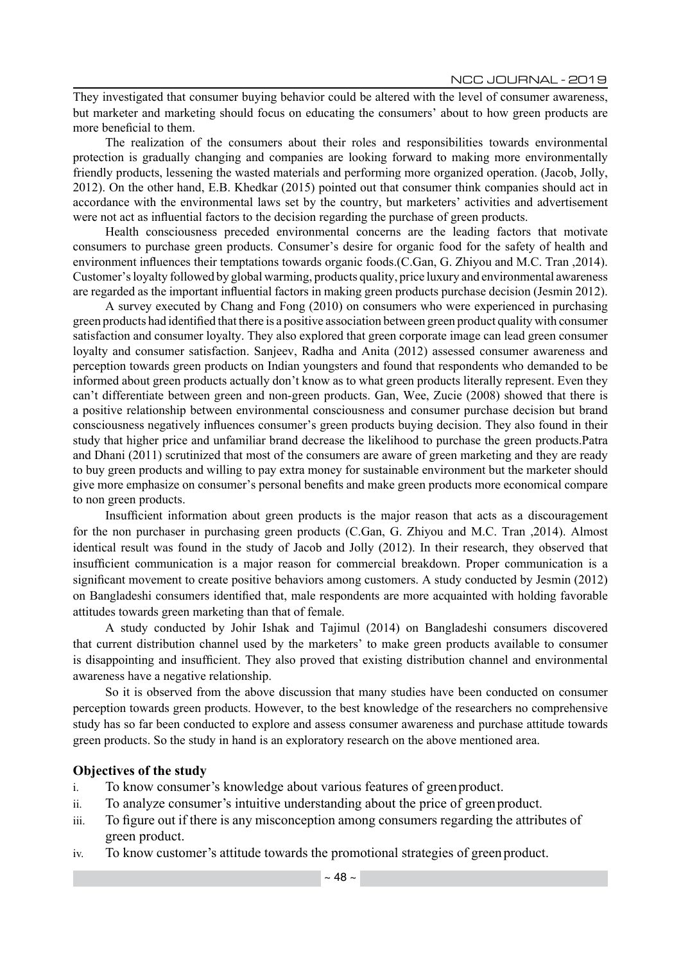They investigated that consumer buying behavior could be altered with the level of consumer awareness, but marketer and marketing should focus on educating the consumers' about to how green products are more beneficial to them.

The realization of the consumers about their roles and responsibilities towards environmental protection is gradually changing and companies are looking forward to making more environmentally friendly products, lessening the wasted materials and performing more organized operation. (Jacob, Jolly, 2012). On the other hand, E.B. Khedkar (2015) pointed out that consumer think companies should act in accordance with the environmental laws set by the country, but marketers' activities and advertisement were not act as influential factors to the decision regarding the purchase of green products.

Health consciousness preceded environmental concerns are the leading factors that motivate consumers to purchase green products. Consumer's desire for organic food for the safety of health and environment influences their temptations towards organic foods.(C.Gan, G. Zhiyou and M.C. Tran ,2014). Customer's loyalty followed by global warming, products quality, price luxury and environmental awareness are regarded as the important influential factors in making green products purchase decision (Jesmin 2012).

A survey executed by Chang and Fong (2010) on consumers who were experienced in purchasing green products had identified that there is a positive association between green product quality with consumer satisfaction and consumer loyalty. They also explored that green corporate image can lead green consumer loyalty and consumer satisfaction. Sanjeev, Radha and Anita (2012) assessed consumer awareness and perception towards green products on Indian youngsters and found that respondents who demanded to be informed about green products actually don't know as to what green products literally represent. Even they can't differentiate between green and non-green products. Gan, Wee, Zucie (2008) showed that there is a positive relationship between environmental consciousness and consumer purchase decision but brand consciousness negatively influences consumer's green products buying decision. They also found in their study that higher price and unfamiliar brand decrease the likelihood to purchase the green products.Patra and Dhani (2011) scrutinized that most of the consumers are aware of green marketing and they are ready to buy green products and willing to pay extra money for sustainable environment but the marketer should give more emphasize on consumer's personal benefits and make green products more economical compare to non green products.

Insufficient information about green products is the major reason that acts as a discouragement for the non purchaser in purchasing green products (C.Gan, G. Zhiyou and M.C. Tran ,2014). Almost identical result was found in the study of Jacob and Jolly (2012). In their research, they observed that insufficient communication is a major reason for commercial breakdown. Proper communication is a significant movement to create positive behaviors among customers. A study conducted by Jesmin (2012) on Bangladeshi consumers identified that, male respondents are more acquainted with holding favorable attitudes towards green marketing than that of female.

A study conducted by Johir Ishak and Tajimul (2014) on Bangladeshi consumers discovered that current distribution channel used by the marketers' to make green products available to consumer is disappointing and insufficient. They also proved that existing distribution channel and environmental awareness have a negative relationship.

So it is observed from the above discussion that many studies have been conducted on consumer perception towards green products. However, to the best knowledge of the researchers no comprehensive study has so far been conducted to explore and assess consumer awareness and purchase attitude towards green products. So the study in hand is an exploratory research on the above mentioned area.

#### **Objectives of the study**

- i. To know consumer's knowledge about various features of green product.
- ii. To analyze consumer's intuitive understanding about the price of green product.
- iii. To figure out if there is any misconception among consumers regarding the attributes of green product.
- iv. To know customer's attitude towards the promotional strategies of green product.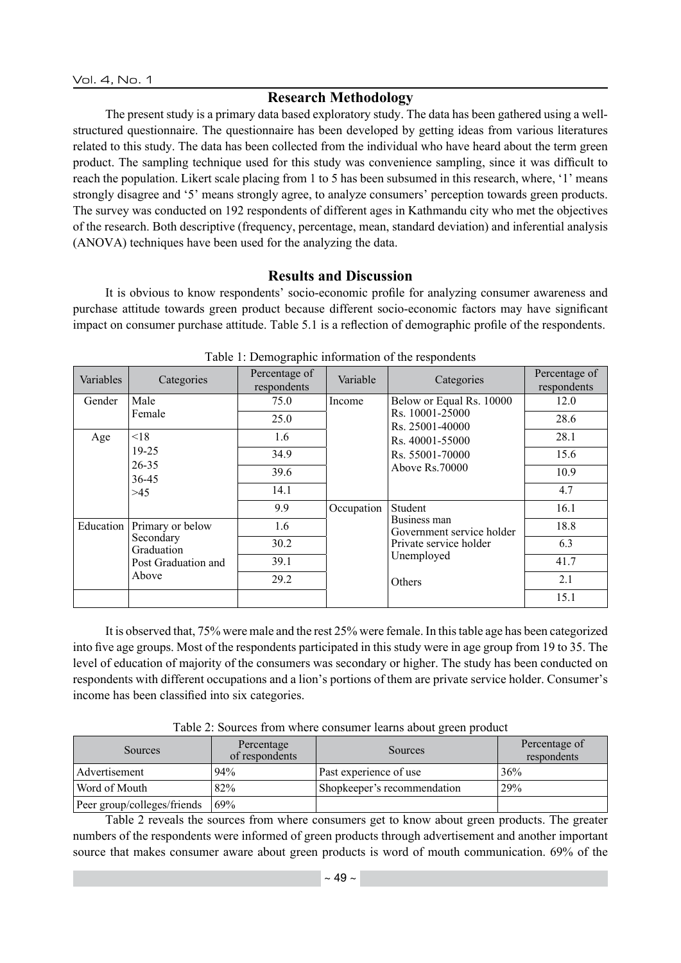# **Research Methodology**

The present study is a primary data based exploratory study. The data has been gathered using a wellstructured questionnaire. The questionnaire has been developed by getting ideas from various literatures related to this study. The data has been collected from the individual who have heard about the term green product. The sampling technique used for this study was convenience sampling, since it was difficult to reach the population. Likert scale placing from 1 to 5 has been subsumed in this research, where, '1' means strongly disagree and '5' means strongly agree, to analyze consumers' perception towards green products. The survey was conducted on 192 respondents of different ages in Kathmandu city who met the objectives of the research. Both descriptive (frequency, percentage, mean, standard deviation) and inferential analysis (ANOVA) techniques have been used for the analyzing the data.

### **Results and Discussion**

It is obvious to know respondents' socio-economic profile for analyzing consumer awareness and purchase attitude towards green product because different socio-economic factors may have significant impact on consumer purchase attitude. Table 5.1 is a reflection of demographic profile of the respondents.

| Variables | Categories                                                                  | Percentage of<br>respondents | Variable   | л.<br>Categories                                                                            | Percentage of<br>respondents |
|-----------|-----------------------------------------------------------------------------|------------------------------|------------|---------------------------------------------------------------------------------------------|------------------------------|
| Gender    | Male                                                                        | 75.0                         | Income     | Below or Equal Rs. 10000                                                                    | 12.0                         |
|           | Female                                                                      | 25.0                         |            | Rs. 10001-25000<br>Rs. 25001-40000                                                          | 28.6                         |
| Age       | < 18                                                                        | 1.6                          |            | Rs. 40001-55000<br>Rs. 55001-70000                                                          | 28.1                         |
|           | $19 - 25$                                                                   | 34.9                         |            |                                                                                             | 15.6                         |
|           | $26 - 35$<br>Above Rs.70000<br>39.6<br>36-45                                | 10.9                         |            |                                                                                             |                              |
|           | >45                                                                         | 14.1                         |            |                                                                                             | 4.7                          |
|           |                                                                             | 9.9                          | Occupation | Student                                                                                     | 16.1                         |
| Education | Primary or below<br>Secondary<br>Graduation<br>Post Graduation and<br>Above | 1.6                          |            | Business man<br>Government service holder<br>Private service holder<br>Unemployed<br>Others | 18.8                         |
|           |                                                                             | 30.2                         |            |                                                                                             | 6.3                          |
|           |                                                                             | 39.1                         |            |                                                                                             | 41.7                         |
|           |                                                                             | 29.2                         |            |                                                                                             | 2.1                          |
|           |                                                                             |                              |            |                                                                                             | 15.1                         |

| Table 1: Demographic information of the respondents |  |  |  |
|-----------------------------------------------------|--|--|--|
|                                                     |  |  |  |

It is observed that, 75% were male and the rest 25% were female. In this table age has been categorized into five age groups. Most of the respondents participated in this study were in age group from 19 to 35. The level of education of majority of the consumers was secondary or higher. The study has been conducted on respondents with different occupations and a lion's portions of them are private service holder. Consumer's income has been classified into six categories.

| Table 2: Sources from where consumer learns about green product |  |  |  |  |
|-----------------------------------------------------------------|--|--|--|--|
|                                                                 |  |  |  |  |

| Sources                     | Percentage<br>of respondents | Sources                     | Percentage of<br>respondents |
|-----------------------------|------------------------------|-----------------------------|------------------------------|
| Advertisement               | 94%                          | Past experience of use      | 36%                          |
| Word of Mouth               | 82%                          | Shopkeeper's recommendation | 29%                          |
| Peer group/colleges/friends | 69%                          |                             |                              |

Table 2 reveals the sources from where consumers get to know about green products. The greater numbers of the respondents were informed of green products through advertisement and another important source that makes consumer aware about green products is word of mouth communication. 69% of the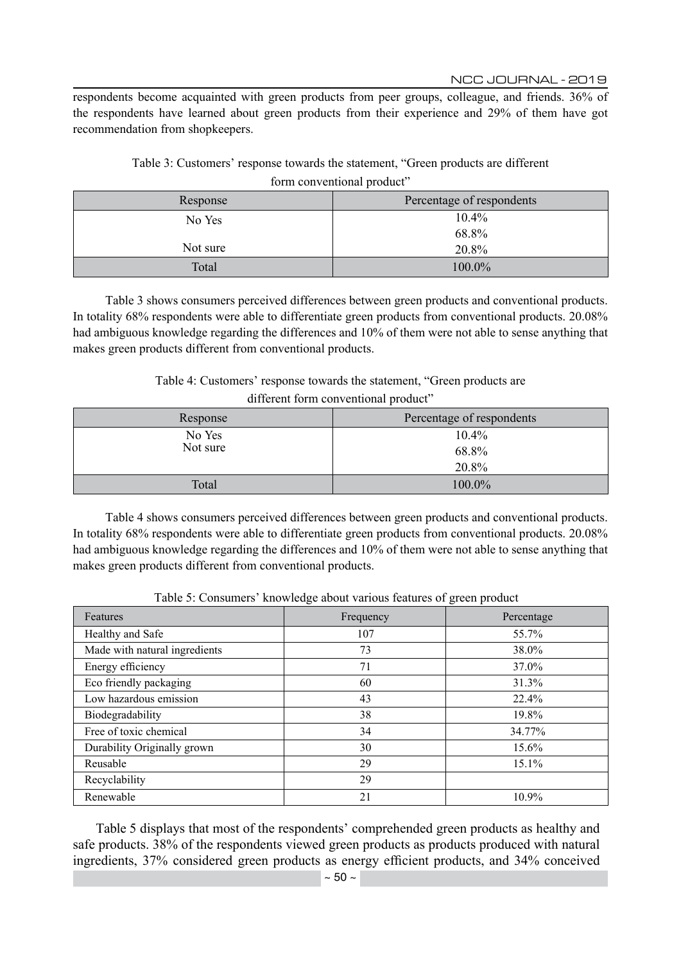respondents become acquainted with green products from peer groups, colleague, and friends. 36% of the respondents have learned about green products from their experience and 29% of them have got recommendation from shopkeepers.

|                            | Table 3: Customers' response towards the statement, "Green products are different" |
|----------------------------|------------------------------------------------------------------------------------|
| form conventional product" |                                                                                    |

| Response | Percentage of respondents |  |  |
|----------|---------------------------|--|--|
| No Yes   | 10.4%                     |  |  |
|          | 68.8%                     |  |  |
| Not sure | 20.8%                     |  |  |
| Total    | 100.0%                    |  |  |

Table 3 shows consumers perceived differences between green products and conventional products. In totality 68% respondents were able to differentiate green products from conventional products. 20.08% had ambiguous knowledge regarding the differences and 10% of them were not able to sense anything that makes green products different from conventional products.

Table 4: Customers' response towards the statement, "Green products are

| different form conventional product" |  |
|--------------------------------------|--|
|--------------------------------------|--|

| Response | Percentage of respondents |  |  |
|----------|---------------------------|--|--|
| No Yes   | 10.4%                     |  |  |
| Not sure | 68.8%                     |  |  |
|          | 20.8%                     |  |  |
| Total    | 100.0%                    |  |  |

Table 4 shows consumers perceived differences between green products and conventional products. In totality 68% respondents were able to differentiate green products from conventional products. 20.08% had ambiguous knowledge regarding the differences and 10% of them were not able to sense anything that makes green products different from conventional products.

| Table 5: Consumers' knowledge about various features of green product |  |  |
|-----------------------------------------------------------------------|--|--|
|                                                                       |  |  |

| Features                      | Frequency | Percentage |
|-------------------------------|-----------|------------|
| Healthy and Safe              | 107       | 55.7%      |
| Made with natural ingredients | 73        | 38.0%      |
| Energy efficiency             | 71        | 37.0%      |
| Eco friendly packaging        | 60        | 31.3%      |
| Low hazardous emission        | 43        | 22.4%      |
| Biodegradability              | 38        | 19.8%      |
| Free of toxic chemical        | 34        | 34.77%     |
| Durability Originally grown   | 30        | $15.6\%$   |
| Reusable                      | 29        | $15.1\%$   |
| Recyclability                 | 29        |            |
| Renewable                     | 21        | 10.9%      |

Table 5 displays that most of the respondents' comprehended green products as healthy and safe products. 38% of the respondents viewed green products as products produced with natural ingredients, 37% considered green products as energy efficient products, and 34% conceived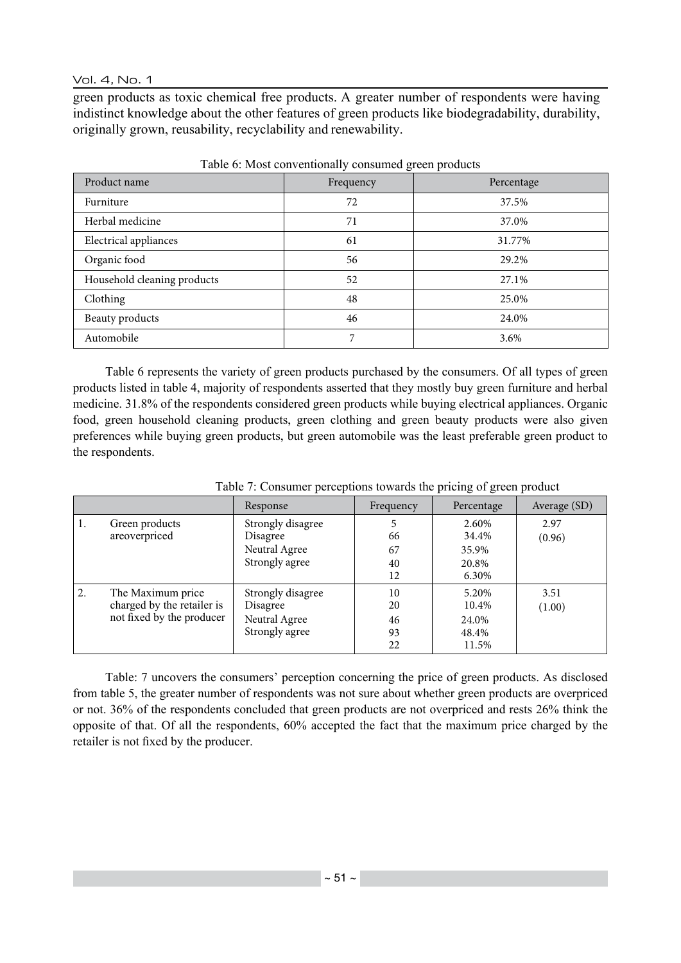Vol. 4, No. 1

green products as toxic chemical free products. A greater number of respondents were having indistinct knowledge about the other features of green products like biodegradability, durability, originally grown, reusability, recyclability and renewability.

| Product name                | Frequency | Percentage |  |
|-----------------------------|-----------|------------|--|
| Furniture                   | 72        | 37.5%      |  |
| Herbal medicine             | 71        | 37.0%      |  |
| Electrical appliances       | 61        | 31.77%     |  |
| Organic food                | 56        | 29.2%      |  |
| Household cleaning products | 52        | 27.1%      |  |
| Clothing                    | 48        | 25.0%      |  |
| Beauty products             | 46        | 24.0%      |  |
| Automobile                  | 7         | 3.6%       |  |

Table 6: Most conventionally consumed green products

Table 6 represents the variety of green products purchased by the consumers. Of all types of green products listed in table 4, majority of respondents asserted that they mostly buy green furniture and herbal medicine. 31.8% of the respondents considered green products while buying electrical appliances. Organic food, green household cleaning products, green clothing and green beauty products were also given preferences while buying green products, but green automobile was the least preferable green product to the respondents.

|    |                                                                              | Response                                                         | Frequency                  | Percentage                                | Average (SD)   |
|----|------------------------------------------------------------------------------|------------------------------------------------------------------|----------------------------|-------------------------------------------|----------------|
| 1. | Green products<br>areoverpriced                                              | Strongly disagree<br>Disagree                                    | 66                         | 2.60%<br>34.4%                            | 2.97<br>(0.96) |
|    |                                                                              | Neutral Agree<br>Strongly agree                                  | 67<br>40<br>12             | 35.9%<br>20.8%<br>6.30%                   |                |
| 2. | The Maximum price<br>charged by the retailer is<br>not fixed by the producer | Strongly disagree<br>Disagree<br>Neutral Agree<br>Strongly agree | 10<br>20<br>46<br>93<br>22 | 5.20%<br>10.4%<br>24.0%<br>48.4%<br>11.5% | 3.51<br>(1.00) |

Table 7: Consumer perceptions towards the pricing of green product

Table: 7 uncovers the consumers' perception concerning the price of green products. As disclosed from table 5, the greater number of respondents was not sure about whether green products are overpriced or not. 36% of the respondents concluded that green products are not overpriced and rests 26% think the opposite of that. Of all the respondents, 60% accepted the fact that the maximum price charged by the retailer is not fixed by the producer.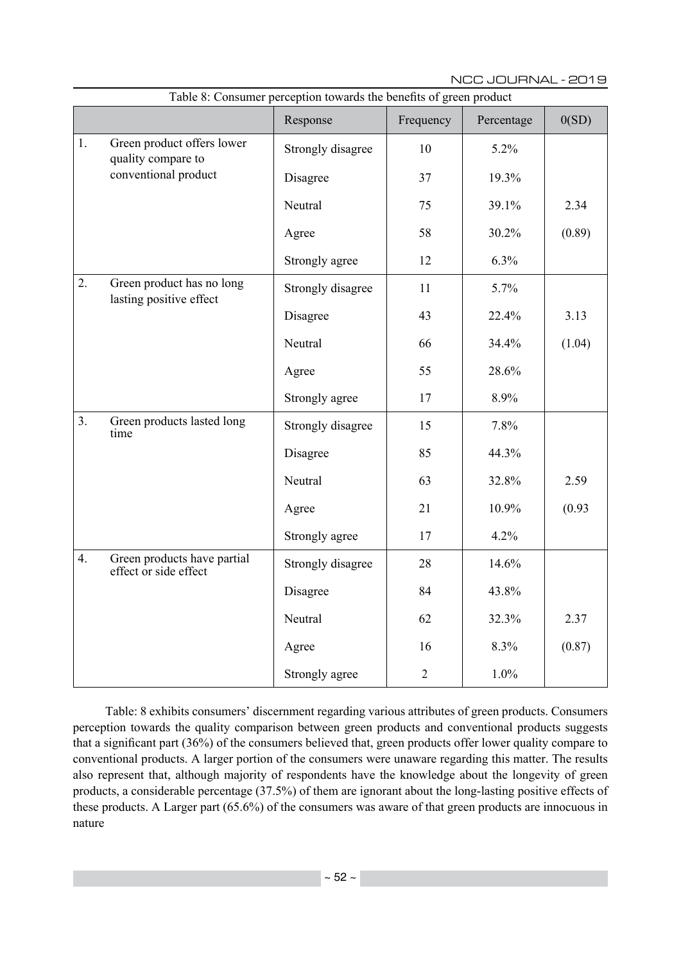|                      |                                                      | radic of Consumer perception towards the benefits or green product<br>Response | Frequency      | Percentage | 0(SD)  |
|----------------------|------------------------------------------------------|--------------------------------------------------------------------------------|----------------|------------|--------|
| 1.                   | Green product offers lower<br>quality compare to     | Strongly disagree                                                              | 10             | 5.2%       |        |
| conventional product |                                                      | Disagree                                                                       | 37             | 19.3%      |        |
|                      |                                                      | Neutral                                                                        | 75             | 39.1%      | 2.34   |
|                      |                                                      | Agree                                                                          | 58             | 30.2%      | (0.89) |
|                      |                                                      | Strongly agree                                                                 | 12             | 6.3%       |        |
| 2.                   | Green product has no long<br>lasting positive effect | Strongly disagree                                                              | 11             | 5.7%       |        |
|                      |                                                      | Disagree                                                                       | 43             | 22.4%      | 3.13   |
|                      |                                                      | Neutral                                                                        | 66             | 34.4%      | (1.04) |
|                      |                                                      | Agree                                                                          | 55             | 28.6%      |        |
|                      |                                                      | Strongly agree                                                                 | 17             | 8.9%       |        |
| 3.                   | Green products lasted long<br>time                   | Strongly disagree                                                              | 15             | 7.8%       |        |
|                      |                                                      | Disagree                                                                       | 85             | 44.3%      |        |
|                      |                                                      | Neutral                                                                        | 63             | 32.8%      | 2.59   |
|                      |                                                      | Agree                                                                          | 21             | 10.9%      | (0.93) |
|                      |                                                      | Strongly agree                                                                 | 17             | 4.2%       |        |
| 4.                   | Green products have partial<br>effect or side effect | Strongly disagree                                                              | 28             | 14.6%      |        |
|                      |                                                      | Disagree                                                                       | 84             | 43.8%      |        |
|                      |                                                      | Neutral                                                                        | 62             | 32.3%      | 2.37   |
|                      |                                                      | Agree                                                                          | 16             | 8.3%       | (0.87) |
|                      |                                                      | Strongly agree                                                                 | $\overline{2}$ | $1.0\%$    |        |

Table 8: Consumer perception towards the benefits of green product

Table: 8 exhibits consumers' discernment regarding various attributes of green products. Consumers perception towards the quality comparison between green products and conventional products suggests that a significant part (36%) of the consumers believed that, green products offer lower quality compare to conventional products. A larger portion of the consumers were unaware regarding this matter. The results also represent that, although majority of respondents have the knowledge about the longevity of green products, a considerable percentage (37.5%) of them are ignorant about the long-lasting positive effects of these products. A Larger part (65.6%) of the consumers was aware of that green products are innocuous in nature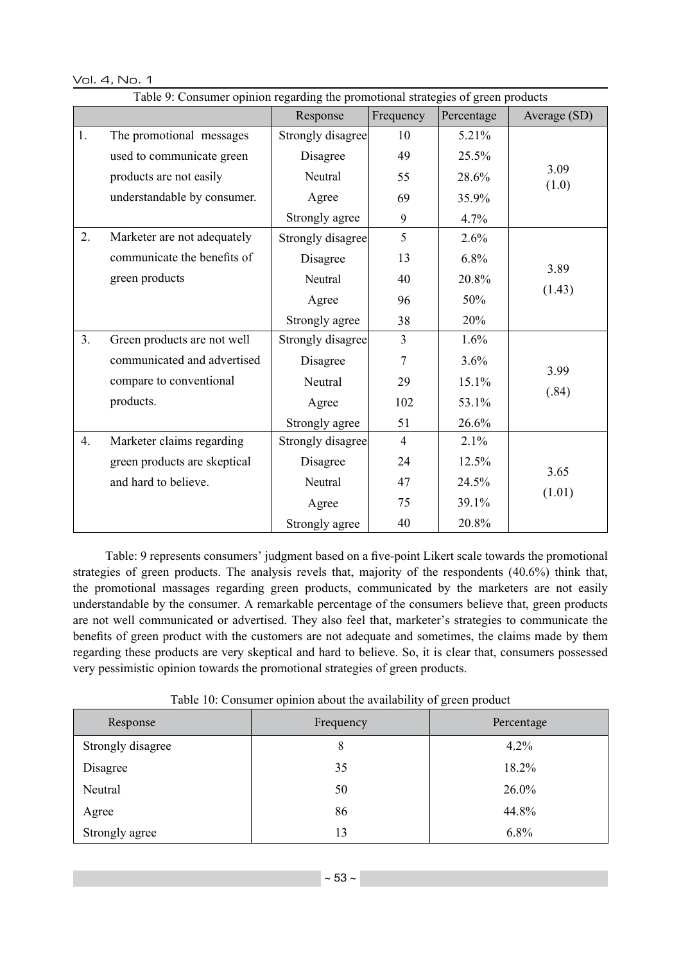Vol. 4, No. 1

|    | Table 9: Consumer opinion regarding the promotional strategies of green products |                   |                |              |               |  |  |  |
|----|----------------------------------------------------------------------------------|-------------------|----------------|--------------|---------------|--|--|--|
|    |                                                                                  | Frequency         | Percentage     | Average (SD) |               |  |  |  |
| 1. | The promotional messages                                                         | Strongly disagree | 10             | 5.21%        |               |  |  |  |
|    | used to communicate green                                                        | Disagree          | 49             | 25.5%        |               |  |  |  |
|    | products are not easily                                                          | Neutral           | 55             | 28.6%        | 3.09<br>(1.0) |  |  |  |
|    | understandable by consumer.                                                      | Agree             | 69             | 35.9%        |               |  |  |  |
|    |                                                                                  | Strongly agree    | 9              | 4.7%         |               |  |  |  |
| 2. | Marketer are not adequately                                                      | Strongly disagree | 5              | 2.6%         |               |  |  |  |
|    | communicate the benefits of                                                      | Disagree          | 13             | 6.8%         | 3.89          |  |  |  |
|    | green products                                                                   | Neutral           | 40             | 20.8%        |               |  |  |  |
|    |                                                                                  | Agree             |                | 50%          | (1.43)        |  |  |  |
|    |                                                                                  | Strongly agree    | 38             | 20%          |               |  |  |  |
| 3. | Green products are not well                                                      | Strongly disagree | $\overline{3}$ | 1.6%         |               |  |  |  |
|    | communicated and advertised                                                      | Disagree          | $\overline{7}$ | 3.6%         | 3.99          |  |  |  |
|    | compare to conventional                                                          | Neutral           | 29             | 15.1%        |               |  |  |  |
|    | products.                                                                        | Agree             | 102            | 53.1%        | (.84)         |  |  |  |
|    |                                                                                  | Strongly agree    | 51             | 26.6%        |               |  |  |  |
| 4. | Marketer claims regarding                                                        | Strongly disagree | $\overline{4}$ | 2.1%         |               |  |  |  |
|    | green products are skeptical                                                     | Disagree          | 24             | 12.5%        | 3.65          |  |  |  |
|    | and hard to believe.                                                             | Neutral           | 47             | 24.5%        |               |  |  |  |
|    |                                                                                  | Agree             | 75             | 39.1%        | (1.01)        |  |  |  |
|    |                                                                                  | Strongly agree    | 40             | 20.8%        |               |  |  |  |

Table: 9 represents consumers' judgment based on a five-point Likert scale towards the promotional strategies of green products. The analysis revels that, majority of the respondents (40.6%) think that, the promotional massages regarding green products, communicated by the marketers are not easily understandable by the consumer. A remarkable percentage of the consumers believe that, green products are not well communicated or advertised. They also feel that, marketer's strategies to communicate the benefits of green product with the customers are not adequate and sometimes, the claims made by them regarding these products are very skeptical and hard to believe. So, it is clear that, consumers possessed very pessimistic opinion towards the promotional strategies of green products.

Table 10: Consumer opinion about the availability of green product

| Response          | Frequency | Percentage |  |  |
|-------------------|-----------|------------|--|--|
| Strongly disagree | 8         | 4.2%       |  |  |
| Disagree          | 35        | 18.2%      |  |  |
| Neutral           | 50        | 26.0%      |  |  |
| Agree             | 86        | 44.8%      |  |  |
| Strongly agree    | 13        | 6.8%       |  |  |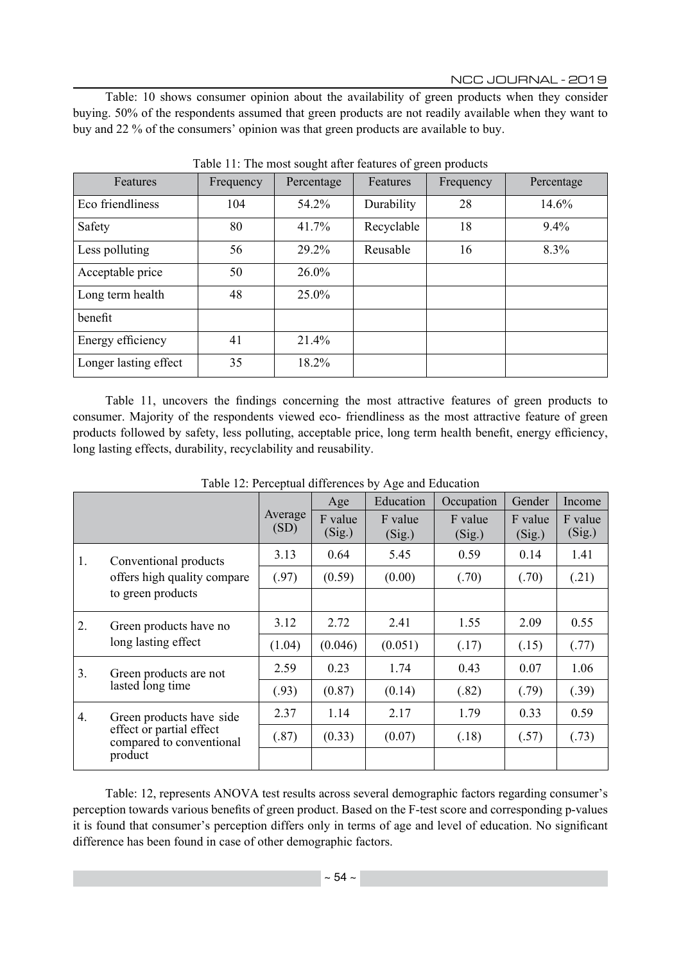Table: 10 shows consumer opinion about the availability of green products when they consider buying. 50% of the respondents assumed that green products are not readily available when they want to buy and 22 % of the consumers' opinion was that green products are available to buy.

| Features              | Frequency | Percentage | Features   | Frequency | Percentage |
|-----------------------|-----------|------------|------------|-----------|------------|
| Eco friendliness      | 104       | 54.2%      | Durability | 28        | 14.6%      |
| Safety                | 80        | 41.7%      | Recyclable | 18        | $9.4\%$    |
| Less polluting        | 56        | 29.2%      | Reusable   | 16        | 8.3%       |
| Acceptable price      | 50        | $26.0\%$   |            |           |            |
| Long term health      | 48        | 25.0%      |            |           |            |
| benefit               |           |            |            |           |            |
| Energy efficiency     | 41        | 21.4%      |            |           |            |
| Longer lasting effect | 35        | 18.2%      |            |           |            |

Table 11: The most sought after features of green products

Table 11, uncovers the findings concerning the most attractive features of green products to consumer. Majority of the respondents viewed eco- friendliness as the most attractive feature of green products followed by safety, less polluting, acceptable price, long term health benefit, energy efficiency, long lasting effects, durability, recyclability and reusability.

|    |                                                                                             |                 | Age               | Education         | Occupation        | Gender            | Income            |
|----|---------------------------------------------------------------------------------------------|-----------------|-------------------|-------------------|-------------------|-------------------|-------------------|
|    |                                                                                             | Average<br>(SD) | F value<br>(Sig.) | F value<br>(Sig.) | F value<br>(Sig.) | F value<br>(Sig.) | F value<br>(Sig.) |
| 1. | Conventional products<br>offers high quality compare<br>to green products                   | 3.13            | 0.64              | 5.45              | 0.59              | 0.14              | 1.41              |
|    |                                                                                             | (.97)           | (0.59)            | (0.00)            | (.70)             | (.70)             | (.21)             |
|    |                                                                                             |                 |                   |                   |                   |                   |                   |
| 2. | Green products have no<br>long lasting effect                                               | 3.12            | 2.72              | 2.41              | 1.55              | 2.09              | 0.55              |
|    |                                                                                             | (1.04)          | (0.046)           | (0.051)           | (.17)             | (.15)             | (.77)             |
| 3. | Green products are not<br>lasted long time                                                  | 2.59            | 0.23              | 1.74              | 0.43              | 0.07              | 1.06              |
|    |                                                                                             | (.93)           | (0.87)            | (0.14)            | (.82)             | (.79)             | (.39)             |
| 4. | Green products have side<br>effect or partial effect<br>compared to conventional<br>product | 2.37            | 1.14              | 2.17              | 1.79              | 0.33              | 0.59              |
|    |                                                                                             | (.87)           | (0.33)            | (0.07)            | (.18)             | (.57)             | (.73)             |
|    |                                                                                             |                 |                   |                   |                   |                   |                   |

Table 12: Perceptual differences by Age and Education

Table: 12, represents ANOVA test results across several demographic factors regarding consumer's perception towards various benefits of green product. Based on the F-test score and corresponding p-values it is found that consumer's perception differs only in terms of age and level of education. No significant difference has been found in case of other demographic factors.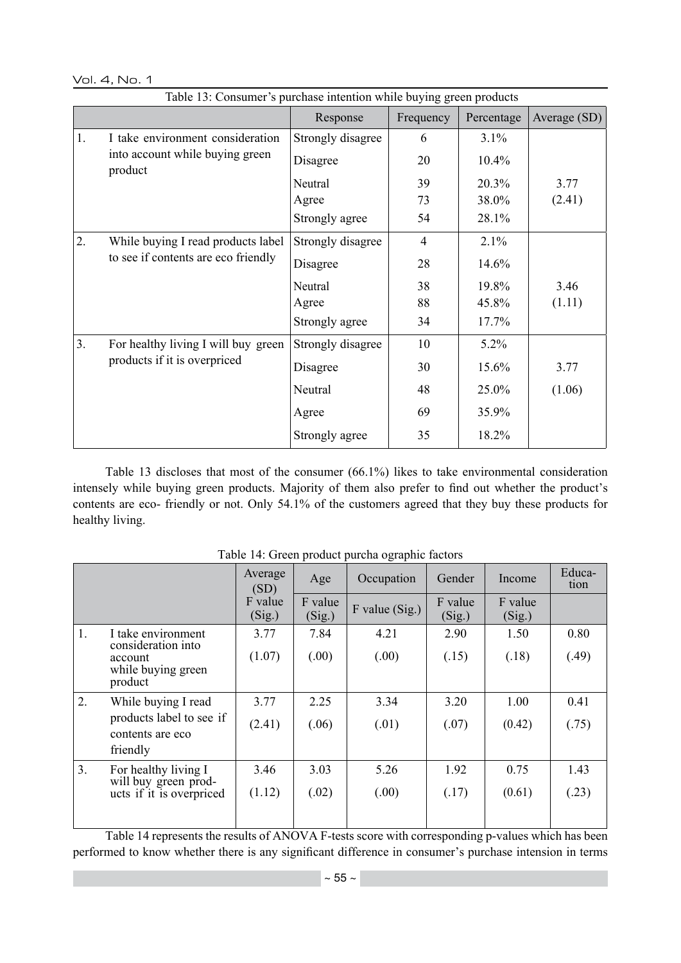Vol. 4, No. 1

|    |                                            | Response          | Frequency      | Percentage | Average (SD) |
|----|--------------------------------------------|-------------------|----------------|------------|--------------|
| 1. | I take environment consideration           | Strongly disagree | 6              | 3.1%       |              |
|    | into account while buying green<br>product | Disagree          | 20             | 10.4%      |              |
|    |                                            | Neutral           | 39             | 20.3%      | 3.77         |
|    |                                            | Agree             | 73             | 38.0%      | (2.41)       |
|    |                                            | Strongly agree    | 54             | 28.1%      |              |
| 2. | While buying I read products label         | Strongly disagree | $\overline{4}$ | 2.1%       |              |
|    | to see if contents are eco friendly        | Disagree          | 28             | 14.6%      |              |
|    |                                            | Neutral           | 38             | 19.8%      | 3.46         |
|    |                                            | Agree             | 88             | 45.8%      | (1.11)       |
|    |                                            | Strongly agree    | 34             | 17.7%      |              |
| 3. | For healthy living I will buy green        | Strongly disagree | 10             | $5.2\%$    |              |
|    | products if it is overpriced               | Disagree          | 30             | 15.6%      | 3.77         |
|    |                                            | Neutral           | 48             | 25.0%      | (1.06)       |
|    |                                            | Agree             | 69             | 35.9%      |              |
|    |                                            | Strongly agree    | 35             | 18.2%      |              |

Table 13 discloses that most of the consumer (66.1%) likes to take environmental consideration intensely while buying green products. Majority of them also prefer to find out whether the product's contents are eco- friendly or not. Only 54.1% of the customers agreed that they buy these products for healthy living.

|    |                                                     | Average<br>(SD)   | Age               | Occupation       | Gender            | Income            | Educa-<br>tion |
|----|-----------------------------------------------------|-------------------|-------------------|------------------|-------------------|-------------------|----------------|
|    |                                                     | F value<br>(Sig.) | F value<br>(Sig.) | $F$ value (Sig.) | F value<br>(Sig.) | F value<br>(Sig.) |                |
| 1. | I take environment                                  | 3.77              | 7.84              | 4.21             | 2.90              | 1.50              | 0.80           |
|    | consideration into<br>account<br>while buying green | (1.07)            | (.00)             | (.00)            | (.15)             | (.18)             | (.49)          |
|    | product                                             |                   |                   |                  |                   |                   |                |
| 2. | While buying I read                                 | 3.77              | 2.25              | 3.34             | 3.20              | 1.00              | 0.41           |
|    | products label to see if<br>contents are eco        | (2.41)            | (.06)             | (.01)            | (.07)             | (0.42)            | (.75)          |
|    | friendly                                            |                   |                   |                  |                   |                   |                |
| 3. | For healthy living I                                | 3.46              | 3.03              | 5.26             | 1.92              | 0.75              | 1.43           |
|    | will buy green prod-<br>ucts if it is overpriced    | (1.12)            | (.02)             | (.00)            | (.17)             | (0.61)            | (.23)          |
|    |                                                     |                   |                   |                  |                   |                   |                |

Table 14: Green product purcha ographic factors

Table 14 represents the results of ANOVA F-tests score with corresponding p-values which has been performed to know whether there is any significant difference in consumer's purchase intension in terms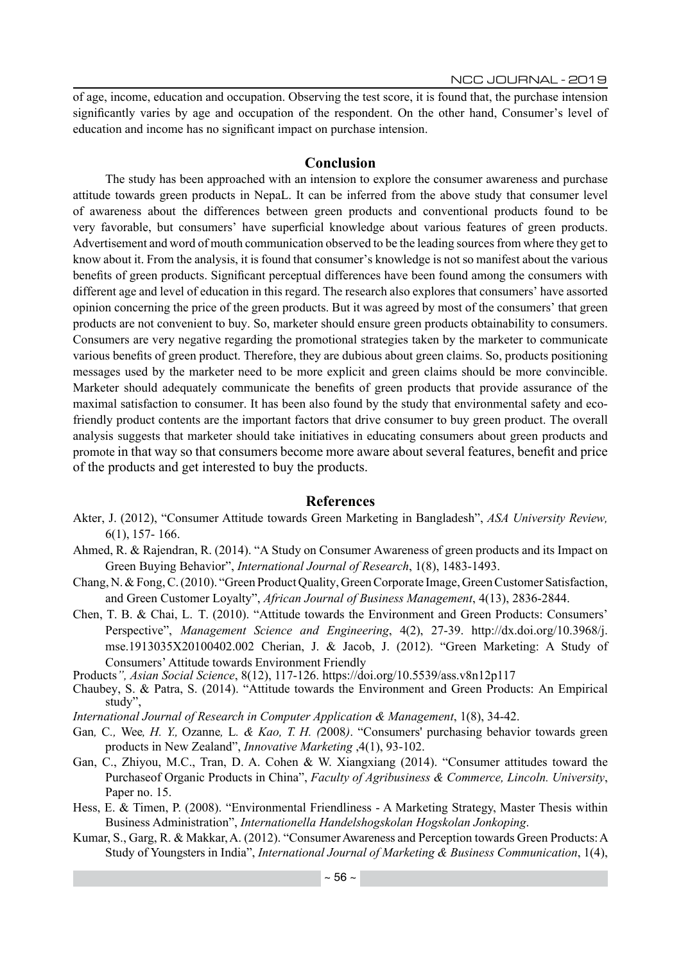of age, income, education and occupation. Observing the test score, it is found that, the purchase intension significantly varies by age and occupation of the respondent. On the other hand, Consumer's level of education and income has no significant impact on purchase intension.

# **Conclusion**

The study has been approached with an intension to explore the consumer awareness and purchase attitude towards green products in NepaL. It can be inferred from the above study that consumer level of awareness about the differences between green products and conventional products found to be very favorable, but consumers' have superficial knowledge about various features of green products. Advertisement and word of mouth communication observed to be the leading sources from where they get to know about it. From the analysis, it is found that consumer's knowledge is not so manifest about the various benefits of green products. Significant perceptual differences have been found among the consumers with different age and level of education in this regard. The research also explores that consumers' have assorted opinion concerning the price of the green products. But it was agreed by most of the consumers' that green products are not convenient to buy. So, marketer should ensure green products obtainability to consumers. Consumers are very negative regarding the promotional strategies taken by the marketer to communicate various benefits of green product. Therefore, they are dubious about green claims. So, products positioning messages used by the marketer need to be more explicit and green claims should be more convincible. Marketer should adequately communicate the benefits of green products that provide assurance of the maximal satisfaction to consumer. It has been also found by the study that environmental safety and ecofriendly product contents are the important factors that drive consumer to buy green product. The overall analysis suggests that marketer should take initiatives in educating consumers about green products and promote in that way so that consumers become more aware about several features, benefit and price of the products and get interested to buy the products.

# **References**

- Akter, J. (2012), "Consumer Attitude towards Green Marketing in Bangladesh", *ASA University Review,*  6(1), 157- 166.
- Ahmed, R. & Rajendran, R. (2014). "A Study on Consumer Awareness of green products and its Impact on Green Buying Behavior", *International Journal of Research*, 1(8), 1483-1493.
- Chang, N. & Fong, C. (2010). "Green Product Quality, Green Corporate Image, Green Customer Satisfaction, and Green Customer Loyalty", *African Journal of Business Management*, 4(13), 2836-2844.
- Chen, T. B. & Chai, L. T. (2010). "Attitude towards the Environment and Green Products: Consumers' Perspective", *Management Science and Engineering*, 4(2), 27-39. http://dx.doi.org/10.3968/j. mse.1913035X20100402.002 Cherian, J. & Jacob, J. (2012). "Green Marketing: A Study of Consumers' Attitude towards Environment Friendly

Products*", Asian Social Science*, 8(12), 117-126. https://doi.org/10.5539/ass.v8n12p117

Chaubey, S. & Patra, S. (2014). "Attitude towards the Environment and Green Products: An Empirical study",

*International Journal of Research in Computer Application & Management*, 1(8), 34-42.

- Gan*,* C*.,* Wee*, H. Y.,* Ozanne*,* L*. & Kao, T. H. (*2008*)*. "Consumers' purchasing behavior towards green products in New Zealand", *Innovative Marketing* ,4(1), 93-102.
- Gan, C., Zhiyou, M.C., Tran, D. A. Cohen & W. Xiangxiang (2014). "Consumer attitudes toward the Purchaseof Organic Products in China", *Faculty of Agribusiness & Commerce, Lincoln. University*, Paper no. 15.
- Hess, E. & Timen, P. (2008). "Environmental Friendliness A Marketing Strategy, Master Thesis within Business Administration", *Internationella Handelshogskolan Hogskolan Jonkoping*.
- Kumar, S., Garg, R. & Makkar, A. (2012). "Consumer Awareness and Perception towards Green Products: A Study of Youngsters in India", *International Journal of Marketing & Business Communication*, 1(4),